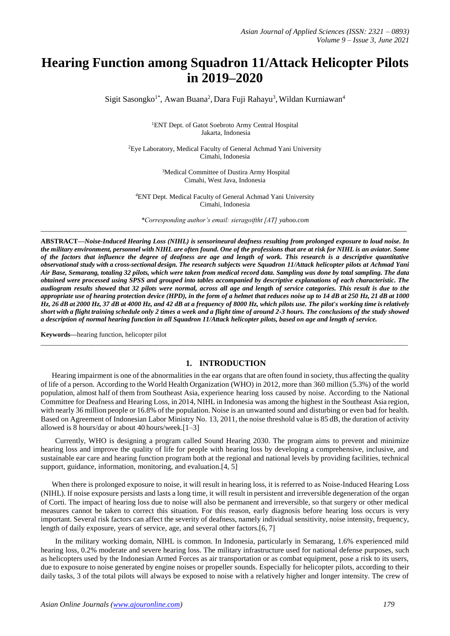# **Hearing Function among Squadron 11/Attack Helicopter Pilots in 2019–2020**

Sigit Sasongko<sup>1\*</sup>, Awan Buana<sup>2</sup>, Dara Fuji Rahayu<sup>3</sup>, Wildan Kurniawan<sup>4</sup>

<sup>1</sup>ENT Dept. of Gatot Soebroto Army Central Hospital Jakarta, Indonesia

<sup>2</sup>Eye Laboratory, Medical Faculty of General Achmad Yani University Cimahi, Indonesia

> <sup>3</sup>Medical Committee of Dustira Army Hospital Cimahi, West Java, Indonesia

<sup>4</sup>ENT Dept. Medical Faculty of General Achmad Yani University Cimahi, Indonesia

*\*Corresponding author's email: sieragoiftht [AT] yahoo.com* \_\_\_\_\_\_\_\_\_\_\_\_\_\_\_\_\_\_\_\_\_\_\_\_\_\_\_\_\_\_\_\_\_\_\_\_\_\_\_\_\_\_\_\_\_\_\_\_\_\_\_\_\_\_\_\_\_\_\_\_\_\_\_\_\_\_\_\_\_\_\_\_\_\_\_\_\_\_\_\_\_\_\_\_\_\_\_\_\_\_\_\_\_\_\_\_\_

**ABSTRACT—***Noise-Induced Hearing Loss (NIHL) is sensorineural deafness resulting from prolonged exposure to loud noise. In the military environment, personnel with NIHL are often found. One of the professions that are at risk for NIHL is an aviator. Some of the factors that influence the degree of deafness are age and length of work. This research is a descriptive quantitative observational study with a cross-sectional design. The research subjects were Squadron 11/Attack helicopter pilots at Achmad Yani Air Base, Semarang, totaling 32 pilots, which were taken from medical record data. Sampling was done by total sampling. The data obtained were processed using SPSS and grouped into tables accompanied by descriptive explanations of each characteristic. The audiogram results showed that 32 pilots were normal, across all age and length of service categories. This result is due to the appropriate use of hearing protection device (HPD), in the form of a helmet that reduces noise up to 14 dB at 250 Hz, 21 dB at 1000 Hz, 26 dB at 2000 Hz, 37 dB at 4000 Hz, and 42 dB at a frequency of 8000 Hz, which pilots use. The pilot's working time isrelatively short with a flight training schedule only 2 times a week and a flight time of around 2-3 hours. The conclusions of the study showed a description of normal hearing function in all Squadron 11/Attack helicopter pilots, based on age and length of service.*

**Keywords***—*hearing function, helicopter pilot

## **1. INTRODUCTION**

\_\_\_\_\_\_\_\_\_\_\_\_\_\_\_\_\_\_\_\_\_\_\_\_\_\_\_\_\_\_\_\_\_\_\_\_\_\_\_\_\_\_\_\_\_\_\_\_\_\_\_\_\_\_\_\_\_\_\_\_\_\_\_\_\_\_\_\_\_\_\_\_\_\_\_\_\_\_\_\_\_\_\_\_\_\_\_\_\_\_\_\_\_\_\_\_\_\_\_\_\_\_\_\_\_\_\_\_

Hearing impairment is one of the abnormalities in the ear organs that are often found in society, thus affecting the quality of life of a person. According to the World Health Organization (WHO) in 2012, more than 360 million (5.3%) of the world population, almost half of them from Southeast Asia, experience hearing loss caused by noise. According to the National Committee for Deafness and Hearing Loss, in 2014, NIHL in Indonesia was among the highest in the Southeast Asia region, with nearly 36 million people or 16.8% ofthe population. Noise is an unwanted sound and disturbing or even bad for health. Based on Agreement of Indonesian Labor Ministry No. 13, 2011, the noise threshold value is 85 dB, the duration of activity allowed is 8 hours/day or about 40 hours/week.[1–3]

Currently, WHO is designing a program called Sound Hearing 2030. The program aims to prevent and minimize hearing loss and improve the quality of life for people with hearing loss by developing a comprehensive, inclusive, and sustainable ear care and hearing function program both at the regional and national levels by providing facilities, technical support, guidance, information, monitoring, and evaluation.<sup>[4, 5]</sup>

When there is prolonged exposure to noise, it will result in hearing loss, it is referred to as Noise-Induced Hearing Loss (NIHL). If noise exposure persists and lasts a long time, it will result in persistent and irreversible degeneration of the organ of Corti. The impact of hearing loss due to noise will also be permanent and irreversible, so that surgery or other medical measures cannot be taken to correct this situation. For this reason, early diagnosis before hearing loss occurs is very important. Several risk factors can affect the severity of deafness, namely individual sensitivity, noise intensity, frequency, length of daily exposure, years of service, age, and several other factors.[6, 7]

In the military working domain, NIHL is common. In Indonesia, particularly in Semarang, 1.6% experienced mild hearing loss, 0.2% moderate and severe hearing loss. The military infrastructure used for national defense purposes, such as helicopters used by the Indonesian Armed Forces as air transportation or as combat equipment, pose a risk to its users, due to exposure to noise generated by engine noises or propeller sounds. Especially for helicopter pilots, according to their daily tasks, 3 of the total pilots will always be exposed to noise with a relatively higher and longer intensity. The crew of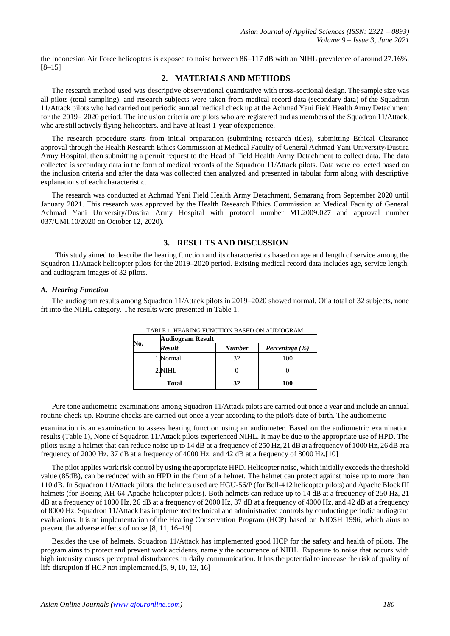the Indonesian Air Force helicopters is exposed to noise between 86–117 dB with an NIHL prevalence of around 27.16%. [8–15]

# **2. MATERIALS AND METHODS**

The research method used was descriptive observational quantitative with cross-sectional design. The sample size was all pilots (total sampling), and research subjects were taken from medical record data (secondary data) of the Squadron 11/Attack pilots who had carried out periodic annual medical check up at the Achmad Yani Field Health Army Detachment for the 2019– 2020 period. The inclusion criteria are pilots who are registered and as members of the Squadron 11/Attack, who are still actively flying helicopters, and have at least 1-year ofexperience.

The research procedure starts from initial preparation (submitting research titles), submitting Ethical Clearance approval through the Health Research Ethics Commission at Medical Faculty of General Achmad Yani University/Dustira Army Hospital, then submitting a permit request to the Head of Field Health Army Detachment to collect data. The data collected is secondary data in the form of medical records of the Squadron 11/Attack pilots. Data were collected based on the inclusion criteria and after the data was collected then analyzed and presented in tabular form along with descriptive explanations of each characteristic.

The research was conducted at Achmad Yani Field Health Army Detachment, Semarang from September 2020 until January 2021. This research was approved by the Health Research Ethics Commission at Medical Faculty of General Achmad Yani University/Dustira Army Hospital with protocol number M1.2009.027 and approval number 037/UMI.10/2020 on October 12, 2020).

# **3. RESULTS AND DISCUSSION**

This study aimed to describe the hearing function and its characteristics based on age and length of service among the Squadron 11/Attack helicopter pilots for the 2019–2020 period. Existing medical record data includes age, service length, and audiogram images of 32 pilots.

#### *A. Hearing Function*

The audiogram results among Squadron 11/Attack pilots in 2019–2020 showed normal. Of a total of 32 subjects, none fit into the NIHL category. The results were presented in Table 1.

| No.   | <b>Audiogram Result</b> |               |                |  |  |  |
|-------|-------------------------|---------------|----------------|--|--|--|
|       | Result                  | <b>Number</b> | Percentage (%) |  |  |  |
|       | 1.Normal                | 32            | 100            |  |  |  |
|       | 2.NIHL                  |               |                |  |  |  |
| Total |                         | 32            | 100            |  |  |  |

TABLE 1. HEARING FUNCTION BASED ON AUDIOGRAM

Pure tone audiometric examinations among Squadron 11/Attack pilots are carried out once a year and include an annual routine check-up. Routine checks are carried out once a year according to the pilot's date of birth. The audiometric

examination is an examination to assess hearing function using an audiometer. Based on the audiometric examination results (Table 1), None of Squadron 11/Attack pilots experienced NIHL. It may be due to the appropriate use of HPD. The pilots using a helmet that can reduce noise up to 14 dB at a frequency of 250 Hz, 21 dB at a frequency of 1000 Hz, 26 dBat a frequency of 2000 Hz, 37 dB at a frequency of 4000 Hz, and 42 dB at a frequency of 8000 Hz.[10]

The pilot applies work risk control by using the appropriate HPD. Helicopter noise, which initially exceeds the threshold value (85dB), can be reduced with an HPD in the form of a helmet. The helmet can protect against noise up to more than 110 dB. In Squadron 11/Attack pilots, the helmets used are HGU-56/P (forBell-412 helicopter pilots) and Apache Block III helmets (for Boeing AH-64 Apache helicopter pilots). Both helmets can reduce up to 14 dB at a frequency of 250 Hz, 21 dB at a frequency of 1000 Hz, 26 dB at a frequency of 2000 Hz, 37 dB at a frequency of 4000 Hz, and 42 dB at a frequency of 8000 Hz. Squadron 11/Attack has implemented technical and administrative controls by conducting periodic audiogram evaluations. It is an implementation of the Hearing Conservation Program (HCP) based on NIOSH 1996, which aims to prevent the adverse effects of noise.[8, 11, 16–19]

Besides the use of helmets, Squadron 11/Attack has implemented good HCP for the safety and health of pilots. The program aims to protect and prevent work accidents, namely the occurrence of NIHL. Exposure to noise that occurs with high intensity causes perceptual disturbances in daily communication. It has the potential to increase the risk of quality of life disruption if HCP not implemented.[5, 9, 10, 13, 16]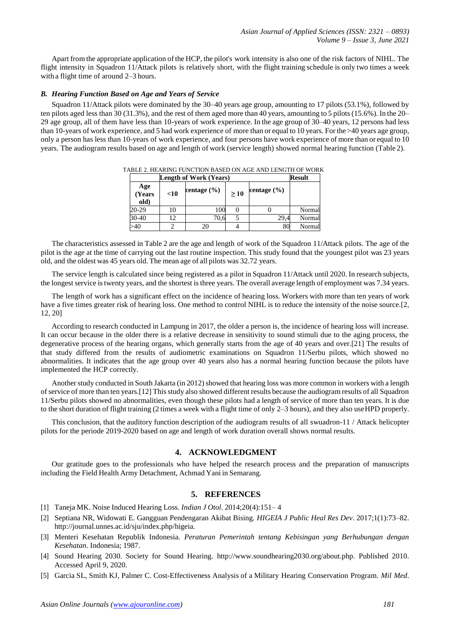Apart fromthe appropriate application ofthe HCP, the pilot's work intensity is also one of the risk factors of NIHL. The flight intensity in Squadron 11/Attack pilots is relatively short, with the flight training schedule is only two times a week with a flight time of around 2–3 hours.

## *B. Hearing Function Based on Age and Years of Service*

Squadron 11/Attack pilots were dominated by the 30–40 years age group, amounting to 17 pilots (53.1%), followed by ten pilots aged less than 30 (31.3%), and the rest of them aged more than 40 years, amounting to 5 pilots(15.6%). In the 20– 29 age group, all of them have less than 10-years of work experience. In the age group of 30–40 years, 12 persons had less than 10-years of work experience, and 5 had work experience of more than or equal to 10 years. Forthe >40 years age group, only a person has less than 10-years of work experience, and four persons have work experience of more than or equal to 10 years. The audiogram results based on age and length of work (service length) showed normal hearing function (Table 2).

| TABLE 2. HEARING FUNCTION BASED ON AGE AND LENGTH OF WORK            |                       |  |
|----------------------------------------------------------------------|-----------------------|--|
| $I_{\text{on}}$ and $I_{\text{on}}$ $I_{\text{non}}$ $I_{\text{on}}$ | $D_{\alpha\alpha\nu}$ |  |

| <b>Length of Work (Years)</b> | <b>Result</b> |                 |     |                 |        |
|-------------------------------|---------------|-----------------|-----|-----------------|--------|
| Age<br>(Years<br>old)         | $<$ 10        | centage $(\% )$ | >10 | centage $(\% )$ |        |
| 20-29                         | 10            | 100             |     |                 | Normal |
| $30-40$                       | 12            | 70.6            |     | 29,4            | Normal |
| >40                           |               | 20              |     | 80              | Normal |

The characteristics assessed in Table 2 are the age and length of work of the Squadron 11/Attack pilots. The age of the pilot is the age at the time of carrying out the last routine inspection. This study found that the youngest pilot was 23 years old, and the oldest was 45 years old. The mean age of all pilots was 32.72 years.

The service length is calculated since being registered as a pilot in Squadron 11/Attack until 2020. In research subjects, the longest service is twenty years, and the shortest is three years. The overall average length of employment was 7.34 years.

The length of work has a significant effect on the incidence of hearing loss. Workers with more than ten years of work have a five times greater risk of hearing loss. One method to control NIHL is to reduce the intensity of the noise source.[2, 12, 20]

According to research conducted in Lampung in 2017, the older a person is, the incidence of hearing loss will increase. It can occur because in the older there is a relative decrease in sensitivity to sound stimuli due to the aging process, the degenerative process of the hearing organs, which generally starts from the age of 40 years and over.[21] The results of that study differed from the results of audiometric examinations on Squadron 11/Serbu pilots, which showed no abnormalities. It indicates that the age group over 40 years also has a normal hearing function because the pilots have implemented the HCP correctly.

Another study conducted in South Jakarta (in 2012) showed that hearing loss was more common in workers with a length of service of more than ten years.[12] This study also showed different results because the audiogram results of all Squadron 11/Serbu pilots showed no abnormalities, even though these pilots had a length of service of more than ten years. It is due to the short duration of flight training (2 times a week with a flight time of only 2–3 hours), and they also useHPD properly.

This conclusion, that the auditory function description of the audiogram results of all swuadron-11 / Attack helicopter pilots for the periode 2019-2020 based on age and length of work duration overall shows normal results.

# **4. ACKNOWLEDGMENT**

Our gratitude goes to the professionals who have helped the research process and the preparation of manuscripts including the Field Health Army Detachment, Achmad Yani in Semarang.

## **5. REFERENCES**

- [1] Taneja MK. Noise Induced Hearing Loss. *Indian J Otol*. 2014;20(4):151– 4
- [2] Septiana NR, Widowati E. Gangguan Pendengaran Akibat Bising. *HIGEIA J Public Heal Res Dev*. 2017;1(1):73–82. [http://journal.unnes.ac.id/sju/index.php/higeia.](http://journal.unnes.ac.id/sju/index.php/higeia)
- [3] Menteri Kesehatan Republik Indonesia. *Peraturan Pemerintah tentang Kebisingan yang Berhubungan dengan Kesehatan*. Indonesia; 1987.
- [4] Sound Hearing 2030. Society for Sound Hearing. [http://www.soundhearing2030.org/about.php. P](http://www.soundhearing2030.org/about.php)ublished 2010. Accessed April 9, 2020.
- [5] Garcia SL, Smith KJ, Palmer C. Cost-Effectiveness Analysis of a Military Hearing Conservation Program. *Mil Med*.